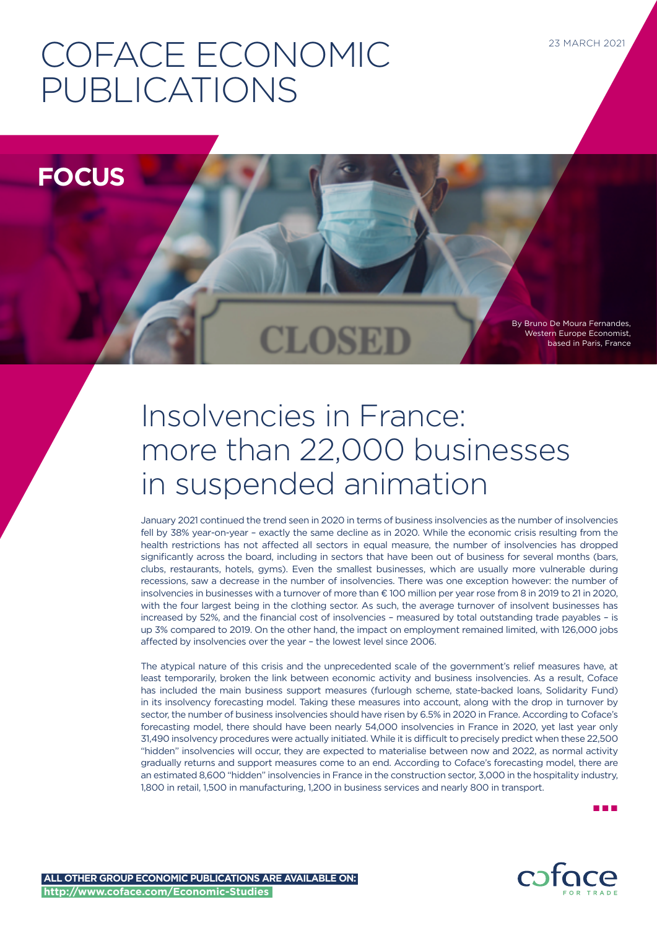# COFACE ECONOMIC PUBLICATIONS

**FOCUS**

By Bruno De Moura Fernandes, Western Europe Economist, based in Paris, France

## Insolvencies in France: more than 22,000 businesses in suspended animation

**CLOSEI** 

January 2021 continued the trend seen in 2020 in terms of business insolvencies as the number of insolvencies fell by 38% year-on-year – exactly the same decline as in 2020. While the economic crisis resulting from the health restrictions has not affected all sectors in equal measure, the number of insolvencies has dropped significantly across the board, including in sectors that have been out of business for several months (bars, clubs, restaurants, hotels, gyms). Even the smallest businesses, which are usually more vulnerable during recessions, saw a decrease in the number of insolvencies. There was one exception however: the number of insolvencies in businesses with a turnover of more than € 100 million per year rose from 8 in 2019 to 21 in 2020, with the four largest being in the clothing sector. As such, the average turnover of insolvent businesses has increased by 52%, and the financial cost of insolvencies – measured by total outstanding trade payables – is up 3% compared to 2019. On the other hand, the impact on employment remained limited, with 126,000 jobs affected by insolvencies over the year – the lowest level since 2006.

The atypical nature of this crisis and the unprecedented scale of the government's relief measures have, at least temporarily, broken the link between economic activity and business insolvencies. As a result, Coface has included the main business support measures (furlough scheme, state-backed loans, Solidarity Fund) in its insolvency forecasting model. Taking these measures into account, along with the drop in turnover by sector, the number of business insolvencies should have risen by 6.5% in 2020 in France. According to Coface's forecasting model, there should have been nearly 54,000 insolvencies in France in 2020, yet last year only 31,490 insolvency procedures were actually initiated. While it is difficult to precisely predict when these 22,500 "hidden" insolvencies will occur, they are expected to materialise between now and 2022, as normal activity gradually returns and support measures come to an end. According to Coface's forecasting model, there are an estimated 8,600 "hidden" insolvencies in France in the construction sector, 3,000 in the hospitality industry, 1,800 in retail, 1,500 in manufacturing, 1,200 in business services and nearly 800 in transport.

n n n

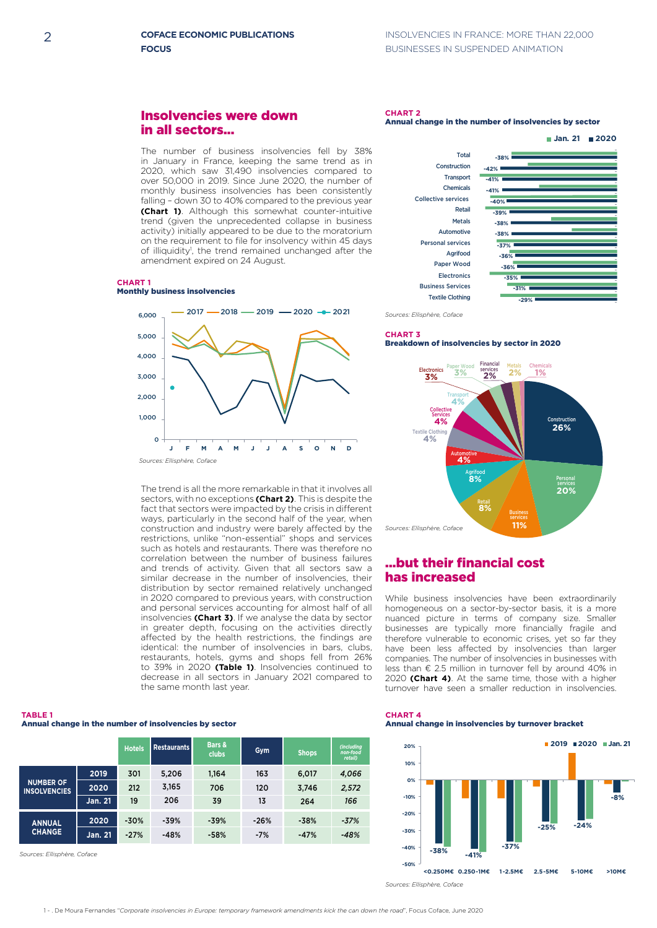## Insolvencies were down in all sectors...

The number of business insolvencies fell by 38% in January in France, keeping the same trend as in 2020, which saw 31,490 insolvencies compared to over 50,000 in 2019. Since June 2020, the number of monthly business insolvencies has been consistently falling – down 30 to 40% compared to the previous year **(Chart 1)**. Although this somewhat counter-intuitive trend (given the unprecedented collapse in business activity) initially appeared to be due to the moratorium on the requirement to file for insolvency within 45 days of illiquidity<sup>1</sup>, the trend remained unchanged after the amendment expired on 24 August.

#### **CHART 1** Monthly business insolvencies 0



The trend is all the more remarkable in that it involves all sectors, with no exceptions (Chart 2). This is despite the fact that sectors were impacted by the crisis in different ways, particularly in the second half of the year, when construction and industry were barely affected by the **construction and madstry were barely anceled by the restrictions, unlike "non-essential" shops and services** such as hotels and restaurants. There was therefore no correlation between the number of business failures and trends of activity. Given that all sectors saw a **-25% -24% -30% 60% 2019 2018 DECO 2020 2020 2020 2020 2020 2020 2020 2020 2020 2020 2020 2020 2020 2020 2020 2020 2020 2020 2020 2020 2020 2020 2020 2020 2020 2020 2020 2020 2020** distribution by sector remained relatively unchanged alstribution by sector remained relatively unchanged<br>in 2020 compared to previous years, with construction and personal services accounting for almost half of all homogeneous on a sector-by-sector basis, it is a more insolvencies (Chart 3). If we analyse the data by sector in greater depth, focusing on the activities directly **-60%** affected by the health restrictions, the findings are identical: the number of insolvencies in bars, clubs, restaurants, hotels, gyms and shops fell from 26% to 39% in 2020 (Table 1). Insolvencies continued to **decrease in all sectors in January 2021 compared to decrease in all sectors in January 2021 compared to** the same month last year.

#### **Annual change in the number of insolvencies by sector TABLE 1 Restaurants Bars & Bars -50% 20,000**

|                                         |                | <b>Hotels</b> | II Restaurants I | <b>Data</b> a<br>clubs | Gym    | <b>Shops</b> | (including)<br>non-food<br>retail) |
|-----------------------------------------|----------------|---------------|------------------|------------------------|--------|--------------|------------------------------------|
| <b>NUMBER OF</b><br><b>INSOLVENCIES</b> | 2019           | 301           | 5,206            | 1,164                  | 163    | 6,017        | 4,066                              |
|                                         | 2020           | 212           | 3,165            | 706                    | 120    | 3,746        | 2,572                              |
|                                         | <b>Jan. 21</b> | 19            | 206              | 39                     | 13     | 264          | 166                                |
| <b>ANNUAL</b><br><b>CHANGE</b>          | 2020           | $-30%$        | $-39%$           | $-39%$                 | $-26%$ | $-38%$       | $-37%$                             |
|                                         | Jan. 21        | $-27%$        | $-48%$           | $-58%$                 | $-7%$  | $-47%$       | $-48%$                             |

*Sources: Ellisphère, Coface* **-20%**

## **CHART 2**

#### Annual change in the number of insolvencies by sector



*Sources: Ellisphère, Coface*

#### **-41% -42%** Transport **20% 2019 2020 Jan. 21 65,000** Breakdown of insolvencies by sector in 2020 **CHART 3**



## ...but their financial cost **-20% has increased but their financial cost**

While business insolvencies have been extraordinarily **-38% -40% -5% model forecast 60,000 homogeneous on a sector-by-sector basis, it is a more** nuanced picture in terms of company size. Smaller businesses are typically more financially fragile and **-100%** 3,000 **50,000** therefore vulnerable to economic crises, yet so far they **-17% 45,000** have been less affected by insolvencies than larger companies. The number of insolvencies in businesses with **40%** in € 2.5 million in turnover fell by around 40% in a higher 2020 (Chart 4). At the same time, those with a higher turnover have seen a smaller reduction in insolvencies. **0%** 0 **30,000 -60%** 4,000 **55,000**

## **Annual change in insolvencies by turnover bracket -60% CHART 4**



*Sources: Ellisphère, Coface*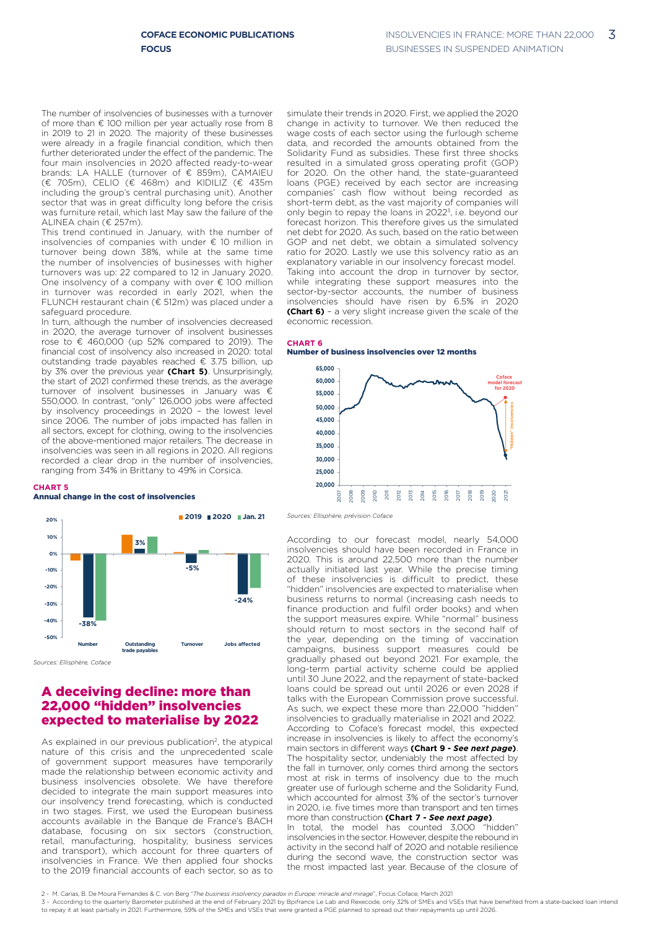The number of insolvencies of businesses with a turnover of more than € 100 million per year actually rose from 8 in 2019 to 21 in 2020. The majority of these businesses were already in a fragile financial condition, which then further deteriorated under the effect of the pandemic. The four main insolvencies in 2020 affected ready-to-wear brands: LA HALLE (turnover of € 859m), CAMAIEU (€ 705m), CELIO (€ 468m) and KIDILIZ (€ 435m including the group's central purchasing unit). Another sector that was in great difficulty long before the crisis was furniture retail, which last May saw the failure of the ALINEA chain (€ 257m).  $2017$   $\frac{1}{20}$ 

> This trend continued in January, with the number of insolvencies of companies with under € 10 million in turnover being down 38%, while at the same time the number of insolvencies of businesses with higher turnovers was up: 22 compared to 12 in January 2020. One insolvency of a company with over € 100 million in turnover was recorded in early 2021, when the FLUNCH restaurant chain (€ 512m) was placed under a safeguard procedure.

In turn, although the number of insolvencies decreased in 2020, the average turnover of insolvent businesses  $\frac{1}{2}$  rose to € 460,000 (up 52% compared to 2019). The financial cost of insolvency also increased in 2020: total mandar beet of meen only also increased in Essex tetal.<br> **outstanding trade payables reached € 3.75 billion, up by 3% over the previous year (Chart 5)**. Unsurprisingly, **2020 65,000** the start of 2021 confirmed these trends, as the average turnover of insolvent businesses in January was € 550,000. In contrast, "only" 126,000 jobs were affected **3%** by insolvency proceedings in 2020 - the lowest level **Sy** modivering proceedings in **2020** The lowest lever since 2006. The number of jobs impacted has fallen in all sectors, except for clothing, owing to the insolvencies an bootene, except for elemning, owing to the incorporation **Franchistan International Integration and Theorem in all regions in 2020. All regions** recorded a clear drop in the number of insolvencies, ranging from 34% in Brittany to 49% in Corsica. **-38% -40% -29% J F M A M J J A S O N D 0%** of insolvent bus **20% 2019 2020 Jan. 21** a sisal arep<sup>rance</sup>re<br>om 34% in Brittany to **-40%** iti as Retail

#### **<0.250M€ 0.250 -1M€ 1 -2.5M€ 2.5 -5M€ 5 -10M€ >10M€ CHART 5**

## **Annual change in the cost of insolvencies**



*Sources: Ellisphère, Coface*

### **A deceiving decline: more than** 22,000 "hidden" insolvencies **40% +7% +16% +24%** expected to materialise by 2022 **0% 20%**

As explained in our previous publication<sup>2</sup>, the atypical nature of this crisis and the unprecedented scale **-60% -5%** of government support measures have temporarily **-80%** made the relationship between economic activity and **-100% -48%** business insolvencies obsolete. We have therefore decided to integrate the main support measures into **-17%**  $\alpha$  insolvency trend forecasting, which is conducted in two stages. First, we used the European business accounts available in the Banque de France's BACH database, focusing on six sectors (construction, retail, manufacturing, hospitality, business services and transport), which account for three quarters of insolvencies in France. We then applied four shocks to the 2019 financial accounts of each sector, so as to

simulate their trends in 2020. First, we applied the 2020 change in activity to turnover. We then reduced the wage costs of each sector using the furlough scheme data, and recorded the amounts obtained from the Solidarity Fund as subsidies. These first three shocks resulted in a simulated gross operating profit (GOP) for 2020. On the other hand, the state-guaranteed loans (PGE) received by each sector are increasing companies' cash flow without being recorded as short-term debt, as the vast majority of companies will **3%** only begin to repay the loans in 2022<sup>3</sup>, i.e. beyond our forecast horizon. This therefore gives us the simulated net debt for 2020. As such, based on the ratio between GOP and net debt, we obtain a simulated solvency ratio for 2020. Lastly we use this solvency ratio as an **4%** explanatory variable in our insolvency forecast model. Taking into account the drop in turnover by sector, **4%** while integrating these support measures into the sector-by-sector accounts, the number of business insolvencies should have risen by 6.5% in 2020 **(Chart 6)** - a very slight increase given the scale of the economic recession.

## **CHART 6 3%**

#### Number of business insolvencies over 12 months



*Sources: Ellisphère, prévision Coface*

According to our forecast model, nearly 54,000 insolvencies should have been recorded in France in **18.6%** 2020. This is around 22,500 more than the number **actually initiated last year. While the precise timing and the state of the precise timing** of these insolvencies is difficult to predict, these "hidden" insolvencies are expected to materialise when **40,000** business returns to normal (increasing cash needs to **-2.6% 35,000** finance production and fulfil order books) and when the support measures expire. While "normal" business **-9.3%** should return to most sectors in the second half of the year, depending on the timing of vaccination campaigns, business support measures could be gradually phased out beyond 2021. For example, the long-term partial activity scheme could be applied until 30 June 2022, and the repayment of state-backed loans could be spread out until 2026 or even 2028 if talks with the European Commission prove successful. **18.6%** As such, we expect these more than 22,000 "hidden" insolvencies to gradually materialise in 2021 and 2022. **9.2%** According to Coface's forecast model, this expected **6.5% 6.5%** increase in insolvencies is likely to affect the economy's main sectors in different ways **(Chart 9 -** *See next page***)**. The hospitality sector, undeniably the most affected by **-2.6%** the fall in turnover, only comes third among the sectors **-9.3% -6.2%** most at risk in terms of insolvency due to the much greater use of furlough scheme and the Solidarity Fund, which accounted for almost 3% of the sector's turnover in 2020, i.e. five times more than transport and ten times more than construction **(Chart 7 -** *See next page***)**. In total, the model has counted 3,000 "hidden" " rirt v c

insolvencies in the sector. However, despite the rebound in activity in the second half of 2020 and notable resilience during the second wave, the construction sector was the most impacted last year. Because of the closure of

<sup>2 -</sup> M. Carias, B. De Moura Fernandes & C. von Berg "*The business insolvency paradox in Europe: miracle and mirage*", Focus Coface, March 2021

<sup>3 -</sup> According to the quarterly Barometer published at the end of February 2021 by Bpifrance Le Lab and Rexecode, only 32% of SMEs and VSEs that have benefited from a state-backed loan intend to repay it at least partially in 2021. Furthermore, 59% of the SMEs and VSEs that were granted a PGE planned to spread out their repayments up until 2026.